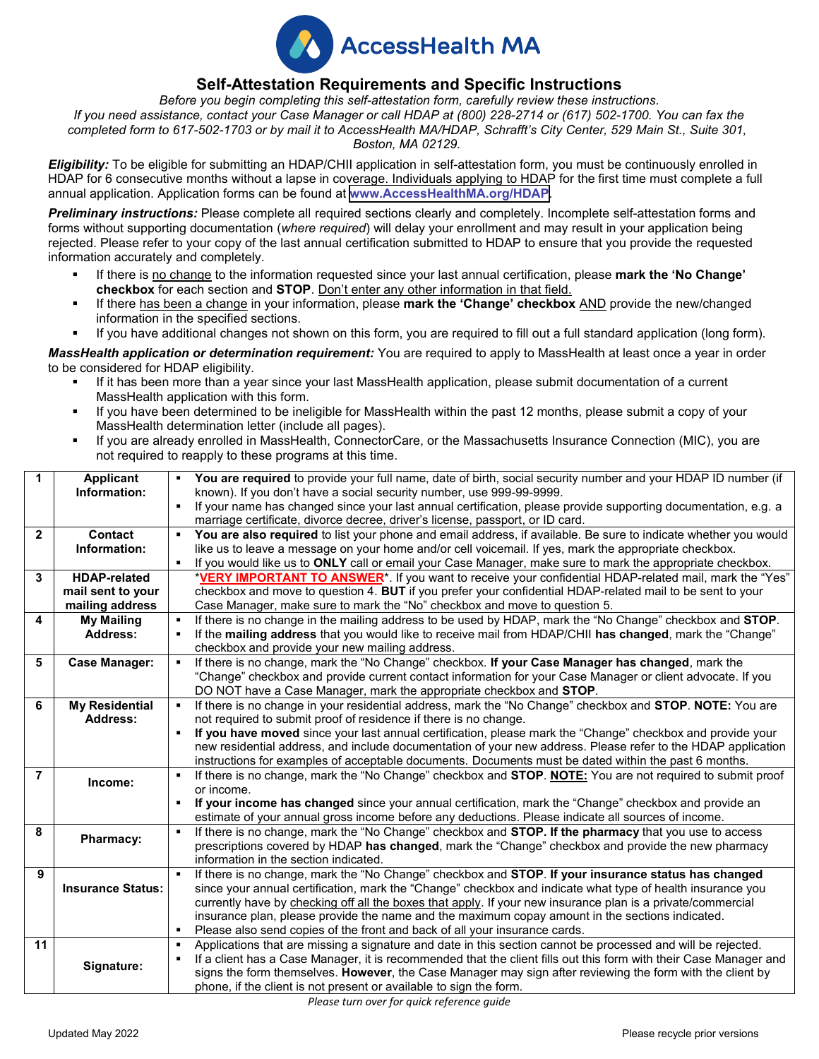

## **Self-Attestation Requirements and Specific Instructions**

*Before you begin completing this self-attestation form, carefully review these instructions. If you need assistance, contact your Case Manager or call HDAP at (800) 228-2714 or (617) 502-1700. You can fax the completed form to 617-502-1703 or by mail it to AccessHealth MA/HDAP, Schrafft's City Center, 529 Main St., Suite 301, Boston, MA 02129.* 

*Eligibility:* To be eligible for submitting an HDAP/CHII application in self-attestation form, you must be continuously enrolled in HDAP for 6 consecutive months without a lapse in coverage. Individuals applying to HDAP for the first time must complete a full annual application. Application forms can be found at **[www.AccessHealthMA.org/HDAP](www.accesshealthma.org/HDAP)**.

**Preliminary instructions:** Please complete all required sections clearly and completely. Incomplete self-attestation forms and forms without supporting documentation (*where required*) will delay your enrollment and may result in your application being rejected. Please refer to your copy of the last annual certification submitted to HDAP to ensure that you provide the requested information accurately and completely.

- If there is no change to the information requested since your last annual certification, please **mark the 'No Change' checkbox** for each section and **STOP**. Don't enter any other information in that field.
- If there has been a change in your information, please mark the 'Change' checkbox AND provide the new/changed information in the specified sections.
- If you have additional changes not shown on this form, you are required to fill out a full standard application (long form).

*MassHealth application or determination requirement:* You are required to apply to MassHealth at least once a year in order to be considered for HDAP eligibility.

- If it has been more than a year since your last MassHealth application, please submit documentation of a current MassHealth application with this form.
- If you have been determined to be ineligible for MassHealth within the past 12 months, please submit a copy of your MassHealth determination letter (include all pages).
- If you are already enrolled in MassHealth, ConnectorCare, or the Massachusetts Insurance Connection (MIC), you are not required to reapply to these programs at this time.

| $\mathbf{1}$   | <b>Applicant</b>         | You are required to provide your full name, date of birth, social security number and your HDAP ID number (if        |  |  |  |
|----------------|--------------------------|----------------------------------------------------------------------------------------------------------------------|--|--|--|
|                | Information:             | known). If you don't have a social security number, use 999-99-9999.                                                 |  |  |  |
|                |                          | If your name has changed since your last annual certification, please provide supporting documentation, e.g. a       |  |  |  |
|                |                          | marriage certificate, divorce decree, driver's license, passport, or ID card.                                        |  |  |  |
| $\mathbf{2}$   | <b>Contact</b>           | You are also required to list your phone and email address, if available. Be sure to indicate whether you would<br>٠ |  |  |  |
|                | Information:             | like us to leave a message on your home and/or cell voicemail. If yes, mark the appropriate checkbox.                |  |  |  |
|                |                          | If you would like us to ONLY call or email your Case Manager, make sure to mark the appropriate checkbox.            |  |  |  |
| 3              | <b>HDAP-related</b>      | *VERY IMPORTANT TO ANSWER <sup>*</sup> . If you want to receive your confidential HDAP-related mail, mark the "Yes"  |  |  |  |
|                | mail sent to your        | checkbox and move to question 4. BUT if you prefer your confidential HDAP-related mail to be sent to your            |  |  |  |
|                | mailing address          | Case Manager, make sure to mark the "No" checkbox and move to question 5.                                            |  |  |  |
| 4              | <b>My Mailing</b>        | If there is no change in the mailing address to be used by HDAP, mark the "No Change" checkbox and STOP.             |  |  |  |
|                | <b>Address:</b>          | If the mailing address that you would like to receive mail from HDAP/CHII has changed, mark the "Change"             |  |  |  |
|                |                          | checkbox and provide your new mailing address.                                                                       |  |  |  |
| 5              | <b>Case Manager:</b>     | If there is no change, mark the "No Change" checkbox. If your Case Manager has changed, mark the<br>٠.               |  |  |  |
|                |                          | "Change" checkbox and provide current contact information for your Case Manager or client advocate. If you           |  |  |  |
|                |                          | DO NOT have a Case Manager, mark the appropriate checkbox and STOP.                                                  |  |  |  |
| 6              | <b>My Residential</b>    | If there is no change in your residential address, mark the "No Change" checkbox and STOP. NOTE: You are             |  |  |  |
|                | <b>Address:</b>          | not required to submit proof of residence if there is no change.                                                     |  |  |  |
|                |                          | If you have moved since your last annual certification, please mark the "Change" checkbox and provide your           |  |  |  |
|                |                          | new residential address, and include documentation of your new address. Please refer to the HDAP application         |  |  |  |
|                |                          | instructions for examples of acceptable documents. Documents must be dated within the past 6 months.                 |  |  |  |
| $\overline{7}$ |                          | If there is no change, mark the "No Change" checkbox and STOP. NOTE: You are not required to submit proof<br>٠       |  |  |  |
|                | Income:                  | or income.                                                                                                           |  |  |  |
|                |                          | If your income has changed since your annual certification, mark the "Change" checkbox and provide an                |  |  |  |
|                |                          | estimate of your annual gross income before any deductions. Please indicate all sources of income.                   |  |  |  |
| 8<br>٠         |                          | If there is no change, mark the "No Change" checkbox and <b>STOP. If the pharmacy</b> that you use to access         |  |  |  |
|                | Pharmacy:                | prescriptions covered by HDAP has changed, mark the "Change" checkbox and provide the new pharmacy                   |  |  |  |
|                |                          | information in the section indicated.                                                                                |  |  |  |
| 9              |                          | If there is no change, mark the "No Change" checkbox and STOP. If your insurance status has changed                  |  |  |  |
|                | <b>Insurance Status:</b> | since your annual certification, mark the "Change" checkbox and indicate what type of health insurance you           |  |  |  |
|                |                          | currently have by checking off all the boxes that apply. If your new insurance plan is a private/commercial          |  |  |  |
|                |                          | insurance plan, please provide the name and the maximum copay amount in the sections indicated.                      |  |  |  |
|                |                          | Please also send copies of the front and back of all your insurance cards.                                           |  |  |  |
| 11             |                          | Applications that are missing a signature and date in this section cannot be processed and will be rejected.<br>٠    |  |  |  |
|                |                          | If a client has a Case Manager, it is recommended that the client fills out this form with their Case Manager and    |  |  |  |
|                | Signature:               | signs the form themselves. However, the Case Manager may sign after reviewing the form with the client by            |  |  |  |
|                |                          | phone, if the client is not present or available to sign the form.                                                   |  |  |  |